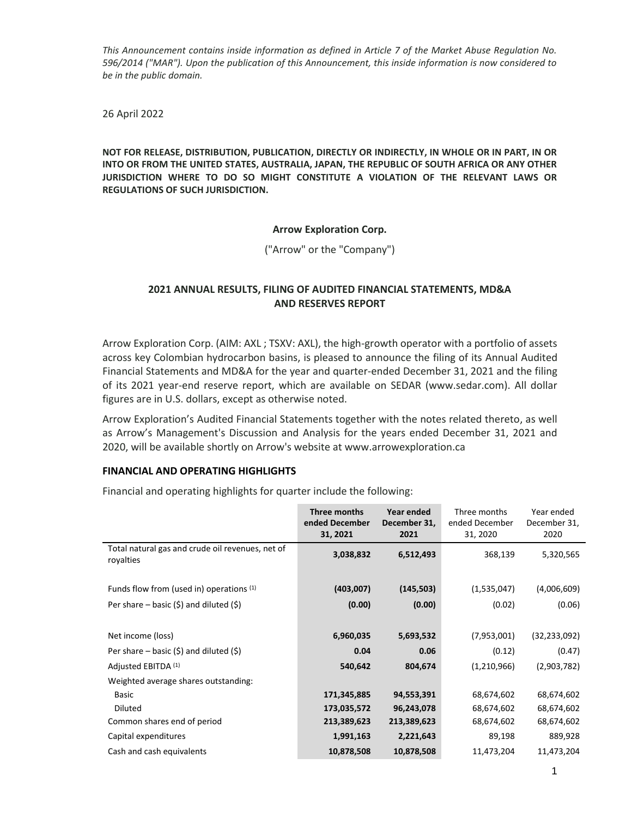*This Announcement contains inside information as defined in Article 7 of the Market Abuse Regulation No. 596/2014 ("MAR"). Upon the publication of this Announcement, this inside information is now considered to be in the public domain.*

26 April 2022

**NOT FOR RELEASE, DISTRIBUTION, PUBLICATION, DIRECTLY OR INDIRECTLY, IN WHOLE OR IN PART, IN OR INTO OR FROM THE UNITED STATES, AUSTRALIA, JAPAN, THE REPUBLIC OF SOUTH AFRICA OR ANY OTHER JURISDICTION WHERE TO DO SO MIGHT CONSTITUTE A VIOLATION OF THE RELEVANT LAWS OR REGULATIONS OF SUCH JURISDICTION.**

### **Arrow Exploration Corp.**

("Arrow" or the "Company")

# **2021 ANNUAL RESULTS, FILING OF AUDITED FINANCIAL STATEMENTS, MD&A AND RESERVES REPORT**

Arrow Exploration Corp. (AIM: AXL ; TSXV: AXL), the high-growth operator with a portfolio of assets across key Colombian hydrocarbon basins, is pleased to announce the filing of its Annual Audited Financial Statements and MD&A for the year and quarter-ended December 31, 2021 and the filing of its 2021 year-end reserve report, which are available on SEDAR (www.sedar.com). All dollar figures are in U.S. dollars, except as otherwise noted.

Arrow Exploration's Audited Financial Statements together with the notes related thereto, as well as Arrow's Management's Discussion and Analysis for the years ended December 31, 2021 and 2020, will be available shortly on Arrow's website at www.arrowexploration.ca

## **FINANCIAL AND OPERATING HIGHLIGHTS**

Financial and operating highlights for quarter include the following:

|                                                               | Three months<br>ended December<br>31, 2021 | Year ended<br>December 31,<br>2021 | Three months<br>ended December<br>31, 2020 | Year ended<br>December 31,<br>2020 |
|---------------------------------------------------------------|--------------------------------------------|------------------------------------|--------------------------------------------|------------------------------------|
| Total natural gas and crude oil revenues, net of<br>royalties | 3,038,832                                  | 6,512,493                          | 368,139                                    | 5,320,565                          |
| Funds flow from (used in) operations (1)                      | (403,007)                                  | (145, 503)                         | (1,535,047)                                | (4,006,609)                        |
| Per share – basic $(\xi)$ and diluted $(\xi)$                 | (0.00)                                     | (0.00)                             | (0.02)                                     | (0.06)                             |
|                                                               |                                            |                                    |                                            |                                    |
| Net income (loss)                                             | 6,960,035                                  | 5,693,532                          | (7,953,001)                                | (32, 233, 092)                     |
| Per share – basic $(\xi)$ and diluted $(\xi)$                 | 0.04                                       | 0.06                               | (0.12)                                     | (0.47)                             |
| Adjusted EBITDA (1)                                           | 540,642                                    | 804,674                            | (1,210,966)                                | (2,903,782)                        |
| Weighted average shares outstanding:                          |                                            |                                    |                                            |                                    |
| Basic                                                         | 171,345,885                                | 94,553,391                         | 68,674,602                                 | 68,674,602                         |
| <b>Diluted</b>                                                | 173,035,572                                | 96,243,078                         | 68,674,602                                 | 68,674,602                         |
| Common shares end of period                                   | 213,389,623                                | 213,389,623                        | 68,674,602                                 | 68,674,602                         |
| Capital expenditures                                          | 1,991,163                                  | 2,221,643                          | 89,198                                     | 889,928                            |
| Cash and cash equivalents                                     | 10,878,508                                 | 10,878,508                         | 11,473,204                                 | 11,473,204                         |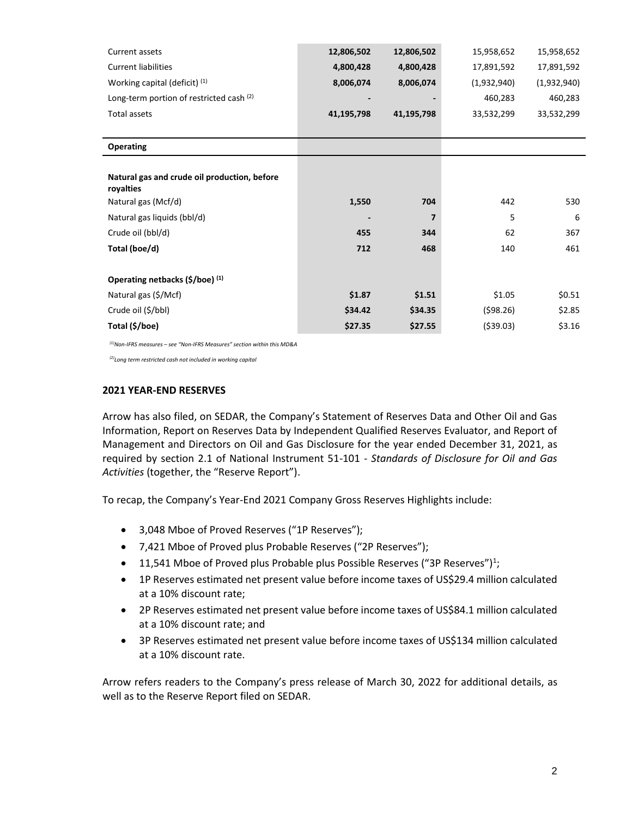| Current assets                                            | 12,806,502 | 12,806,502 | 15,958,652  | 15,958,652  |
|-----------------------------------------------------------|------------|------------|-------------|-------------|
| <b>Current liabilities</b>                                | 4,800,428  | 4,800,428  | 17,891,592  | 17,891,592  |
| Working capital (deficit) (1)                             | 8,006,074  | 8,006,074  | (1,932,940) | (1,932,940) |
| Long-term portion of restricted cash (2)                  |            |            | 460,283     | 460,283     |
| Total assets                                              | 41,195,798 | 41,195,798 | 33,532,299  | 33,532,299  |
|                                                           |            |            |             |             |
| Operating                                                 |            |            |             |             |
|                                                           |            |            |             |             |
| Natural gas and crude oil production, before<br>royalties |            |            |             |             |
| Natural gas (Mcf/d)                                       | 1,550      | 704        | 442         | 530         |
| Natural gas liquids (bbl/d)                               |            | 7          | 5           | 6           |
| Crude oil (bbl/d)                                         | 455        | 344        | 62          | 367         |
| Total (boe/d)                                             | 712        | 468        | 140         | 461         |
|                                                           |            |            |             |             |
| Operating netbacks (\$/boe) (1)                           |            |            |             |             |
| Natural gas (\$/Mcf)                                      | \$1.87     | \$1.51     | \$1.05      | \$0.51      |
| Crude oil (\$/bbl)                                        | \$34.42    | \$34.35    | (598.26)    | \$2.85      |
| Total (\$/boe)                                            | \$27.35    | \$27.55    | (539.03)    | \$3.16      |

*(1)Non-IFRS measures – see "Non-IFRS Measures" section within this MD&A*

*(2)Long term restricted cash not included in working capital*

#### **2021 YEAR-END RESERVES**

Arrow has also filed, on SEDAR, the Company's Statement of Reserves Data and Other Oil and Gas Information, Report on Reserves Data by Independent Qualified Reserves Evaluator, and Report of Management and Directors on Oil and Gas Disclosure for the year ended December 31, 2021, as required by section 2.1 of National Instrument 51-101 - *Standards of Disclosure for Oil and Gas Activities* (together, the "Reserve Report").

To recap, the Company's Year-End 2021 Company Gross Reserves Highlights include:

- 3,048 Mboe of Proved Reserves ("1P Reserves");
- 7,421 Mboe of Proved plus Probable Reserves ("2P Reserves");
- 11,541 Mboe of Proved plus Probable plus Possible Reserves ("3P Reserves")<sup>1</sup>;
- 1P Reserves estimated net present value before income taxes of US\$29.4 million calculated at a 10% discount rate;
- 2P Reserves estimated net present value before income taxes of US\$84.1 million calculated at a 10% discount rate; and
- 3P Reserves estimated net present value before income taxes of US\$134 million calculated at a 10% discount rate.

Arrow refers readers to the Company's press release of March 30, 2022 for additional details, as well as to the Reserve Report filed on SEDAR.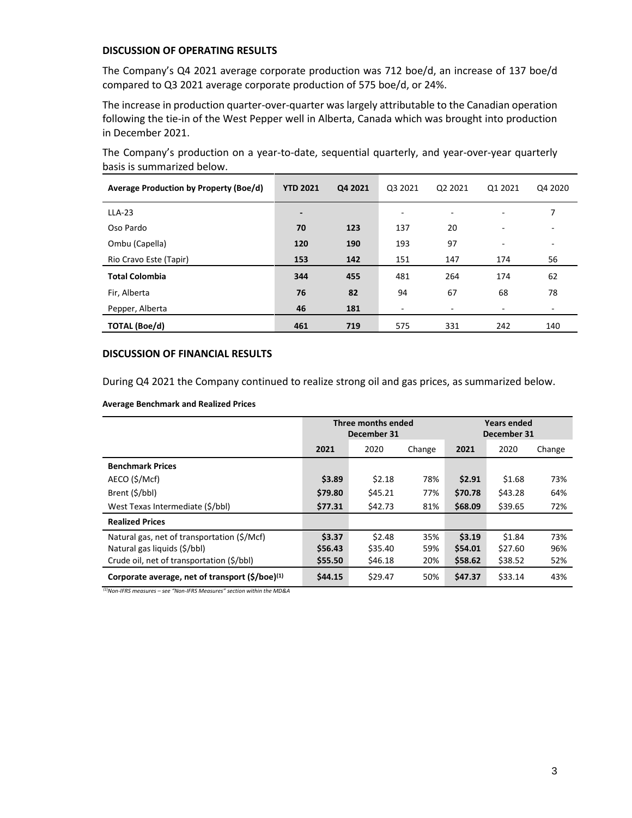## **DISCUSSION OF OPERATING RESULTS**

The Company's Q4 2021 average corporate production was 712 boe/d, an increase of 137 boe/d compared to Q3 2021 average corporate production of 575 boe/d, or 24%.

The increase in production quarter-over-quarter was largely attributable to the Canadian operation following the tie-in of the West Pepper well in Alberta, Canada which was brought into production in December 2021.

The Company's production on a year-to-date, sequential quarterly, and year-over-year quarterly basis is summarized below.

| Average Production by Property (Boe/d) | <b>YTD 2021</b> | Q4 2021 | Q3 2021 | Q <sub>2</sub> 2021 | Q1 2021 | Q4 2020 |
|----------------------------------------|-----------------|---------|---------|---------------------|---------|---------|
| $LLA-23$                               |                 |         |         |                     |         | 7       |
| Oso Pardo                              | 70              | 123     | 137     | 20                  |         |         |
| Ombu (Capella)                         | 120             | 190     | 193     | 97                  |         |         |
| Rio Cravo Este (Tapir)                 | 153             | 142     | 151     | 147                 | 174     | 56      |
| <b>Total Colombia</b>                  | 344             | 455     | 481     | 264                 | 174     | 62      |
| Fir, Alberta                           | 76              | 82      | 94      | 67                  | 68      | 78      |
| Pepper, Alberta                        | 46              | 181     | ٠       |                     |         |         |
| <b>TOTAL (Boe/d)</b>                   | 461             | 719     | 575     | 331                 | 242     | 140     |

## **DISCUSSION OF FINANCIAL RESULTS**

During Q4 2021 the Company continued to realize strong oil and gas prices, as summarized below.

#### **Average Benchmark and Realized Prices**

|                                                                         | Three months ended<br>December 31 |         |        | <b>Years ended</b><br>December 31 |         |        |
|-------------------------------------------------------------------------|-----------------------------------|---------|--------|-----------------------------------|---------|--------|
|                                                                         | 2021                              | 2020    | Change | 2021                              | 2020    | Change |
| <b>Benchmark Prices</b>                                                 |                                   |         |        |                                   |         |        |
| AECO (\$/Mcf)                                                           | \$3.89                            | \$2.18  | 78%    | \$2.91                            | \$1.68  | 73%    |
| Brent (\$/bbl)                                                          | \$79.80                           | \$45.21 | 77%    | \$70.78                           | \$43.28 | 64%    |
| West Texas Intermediate (\$/bbl)                                        | \$77.31                           | \$42.73 | 81%    | \$68.09                           | \$39.65 | 72%    |
| <b>Realized Prices</b>                                                  |                                   |         |        |                                   |         |        |
| Natural gas, net of transportation (\$/Mcf)                             | \$3.37                            | \$2.48  | 35%    | \$3.19                            | \$1.84  | 73%    |
| Natural gas liquids (\$/bbl)                                            | \$56.43                           | \$35.40 | 59%    | \$54.01                           | \$27.60 | 96%    |
| Crude oil, net of transportation (\$/bbl)                               | \$55.50                           | \$46.18 | 20%    | \$58.62                           | \$38.52 | 52%    |
| Corporate average, net of transport $(\frac{2}{5})$ hoe) <sup>(1)</sup> | \$44.15                           | \$29.47 | 50%    | \$47.37                           | \$33.14 | 43%    |

*(1)Non-IFRS measures – see "Non-IFRS Measures" section within the MD&A*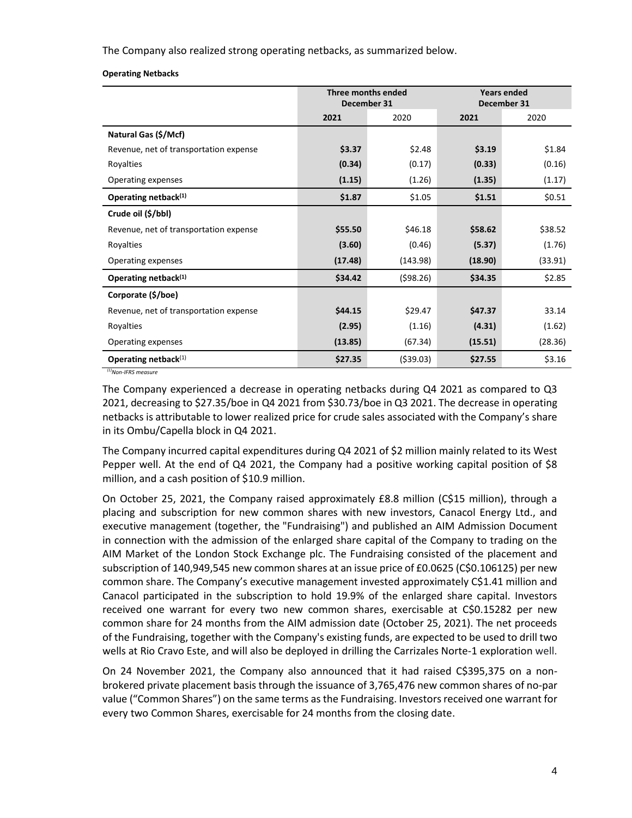The Company also realized strong operating netbacks, as summarized below.

#### **Operating Netbacks**

|                                        | Three months ended |            | <b>Years ended</b> |             |
|----------------------------------------|--------------------|------------|--------------------|-------------|
|                                        | December 31        |            |                    | December 31 |
|                                        | 2021               | 2020       | 2021               | 2020        |
| Natural Gas (\$/Mcf)                   |                    |            |                    |             |
| Revenue, net of transportation expense | \$3.37             | \$2.48     | \$3.19             | \$1.84      |
| Royalties                              | (0.34)             | (0.17)     | (0.33)             | (0.16)      |
| Operating expenses                     | (1.15)             | (1.26)     | (1.35)             | (1.17)      |
| Operating netback <sup>(1)</sup>       | \$1.87             | \$1.05     | \$1.51             | \$0.51      |
| Crude oil (\$/bbl)                     |                    |            |                    |             |
| Revenue, net of transportation expense | \$55.50            | \$46.18    | \$58.62            | \$38.52     |
| Royalties                              | (3.60)             | (0.46)     | (5.37)             | (1.76)      |
| Operating expenses                     | (17.48)            | (143.98)   | (18.90)            | (33.91)     |
| Operating netback <sup>(1)</sup>       | \$34.42            | (598.26)   | \$34.35            | \$2.85      |
| Corporate (\$/boe)                     |                    |            |                    |             |
| Revenue, net of transportation expense | \$44.15            | \$29.47    | \$47.37            | 33.14       |
| Royalties                              | (2.95)             | (1.16)     | (4.31)             | (1.62)      |
| Operating expenses                     | (13.85)            | (67.34)    | (15.51)            | (28.36)     |
| Operating netback(1)                   | \$27.35            | ( \$39.03) | \$27.55            | \$3.16      |
| $\sqrt{(1)}$ Non-IFRS measure          |                    |            |                    |             |

The Company experienced a decrease in operating netbacks during Q4 2021 as compared to Q3 2021, decreasing to \$27.35/boe in Q4 2021 from \$30.73/boe in Q3 2021. The decrease in operating netbacks is attributable to lower realized price for crude sales associated with the Company's share in its Ombu/Capella block in Q4 2021.

The Company incurred capital expenditures during Q4 2021 of \$2 million mainly related to its West Pepper well. At the end of Q4 2021, the Company had a positive working capital position of \$8 million, and a cash position of \$10.9 million.

On October 25, 2021, the Company raised approximately £8.8 million (C\$15 million), through a placing and subscription for new common shares with new investors, Canacol Energy Ltd., and executive management (together, the "Fundraising") and published an AIM Admission Document in connection with the admission of the enlarged share capital of the Company to trading on the AIM Market of the London Stock Exchange plc. The Fundraising consisted of the placement and subscription of 140,949,545 new common shares at an issue price of £0.0625 (C\$0.106125) per new common share. The Company's executive management invested approximately C\$1.41 million and Canacol participated in the subscription to hold 19.9% of the enlarged share capital. Investors received one warrant for every two new common shares, exercisable at C\$0.15282 per new common share for 24 months from the AIM admission date (October 25, 2021). The net proceeds of the Fundraising, together with the Company's existing funds, are expected to be used to drill two wells at Rio Cravo Este, and will also be deployed in drilling the Carrizales Norte-1 exploration well.

On 24 November 2021, the Company also announced that it had raised C\$395,375 on a nonbrokered private placement basis through the issuance of 3,765,476 new common shares of no-par value ("Common Shares") on the same terms as the Fundraising. Investors received one warrant for every two Common Shares, exercisable for 24 months from the closing date.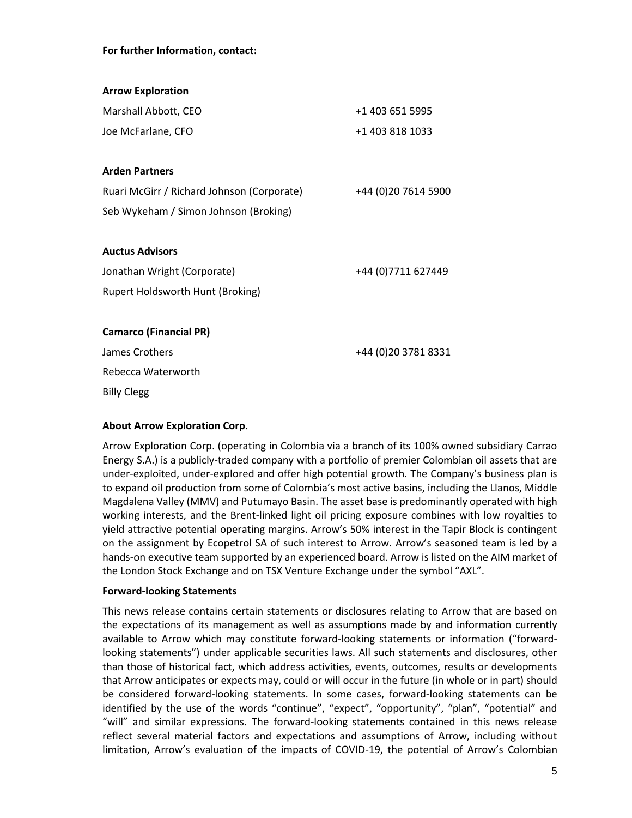## **For further Information, contact:**

| <b>Arrow Exploration</b>                   |                     |
|--------------------------------------------|---------------------|
| Marshall Abbott, CEO                       | +1 403 651 5995     |
| Joe McFarlane, CFO                         | +1 403 818 1033     |
|                                            |                     |
| <b>Arden Partners</b>                      |                     |
| Ruari McGirr / Richard Johnson (Corporate) | +44 (0)20 7614 5900 |
| Seb Wykeham / Simon Johnson (Broking)      |                     |
|                                            |                     |
| <b>Auctus Advisors</b>                     |                     |
| Jonathan Wright (Corporate)                | +44 (0) 7711 627449 |
| Rupert Holdsworth Hunt (Broking)           |                     |
|                                            |                     |
| <b>Camarco (Financial PR)</b>              |                     |
| James Crothers                             | +44 (0)20 3781 8331 |
| Rebecca Waterworth                         |                     |
| <b>Billy Clegg</b>                         |                     |
|                                            |                     |

# **About Arrow Exploration Corp.**

Arrow Exploration Corp. (operating in Colombia via a branch of its 100% owned subsidiary Carrao Energy S.A.) is a publicly-traded company with a portfolio of premier Colombian oil assets that are under-exploited, under-explored and offer high potential growth. The Company's business plan is to expand oil production from some of Colombia's most active basins, including the Llanos, Middle Magdalena Valley (MMV) and Putumayo Basin. The asset base is predominantly operated with high working interests, and the Brent-linked light oil pricing exposure combines with low royalties to yield attractive potential operating margins. Arrow's 50% interest in the Tapir Block is contingent on the assignment by Ecopetrol SA of such interest to Arrow. Arrow's seasoned team is led by a hands-on executive team supported by an experienced board. Arrow is listed on the AIM market of the London Stock Exchange and on TSX Venture Exchange under the symbol "AXL".

### **Forward-looking Statements**

This news release contains certain statements or disclosures relating to Arrow that are based on the expectations of its management as well as assumptions made by and information currently available to Arrow which may constitute forward-looking statements or information ("forwardlooking statements") under applicable securities laws. All such statements and disclosures, other than those of historical fact, which address activities, events, outcomes, results or developments that Arrow anticipates or expects may, could or will occur in the future (in whole or in part) should be considered forward-looking statements. In some cases, forward-looking statements can be identified by the use of the words "continue", "expect", "opportunity", "plan", "potential" and "will" and similar expressions. The forward-looking statements contained in this news release reflect several material factors and expectations and assumptions of Arrow, including without limitation, Arrow's evaluation of the impacts of COVID-19, the potential of Arrow's Colombian